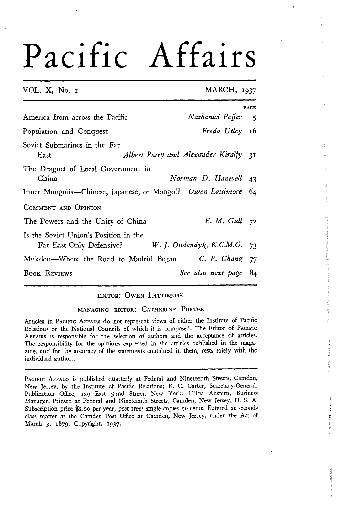#### VOL. X, No. I MARCH, **1937**

|                                                                                               | <b>PAGE</b> |  |
|-----------------------------------------------------------------------------------------------|-------------|--|
| Nathaniel Peffer<br>America from across the Pacific                                           | - 5         |  |
| Freda Utley 16<br>Population and Conquest                                                     |             |  |
| Soviet Submarines in the Far<br>Albert Parry and Alexander Kiralfy<br>East                    | 3I          |  |
| The Dragnet of Local Government in<br>China<br>Norman D. Hanwell 43                           |             |  |
| Inner Mongolia--Chinese, Japanese, or Mongol? Owen Lattimore 64                               |             |  |
| COMMENT AND OPINION                                                                           |             |  |
| $E. M. Gull$ 72<br>The Powers and the Unity of China                                          |             |  |
| Is the Soviet Union's Position in the<br>Far East Only Defensive? W. J. Oudendyk, K.C.M.G. 73 |             |  |
| Mukden—Where the Road to Madrid Began C. F. Chang 77                                          |             |  |
| See also next page 84<br><b>BOOK REVIEWS</b>                                                  |             |  |

#### EDITOR: OWEN LATTIMORE

#### MANAGING EDITOR: CATHERINE PORTER

Articles in PACIFIC AFFAIRS do not represent views of either the Institute of Pacific Relations or the National Councils of which it is composed. The Editor of PACIFIC AFFAIRS is responsible for the selection of authors and the acceptance of articles. The responsibility for the opinions expressed in the articles published in the magazine, and for the accuracy of the statements contained in them, rests solely with the individual authors.

PACIFIC AFFAIRS is published quarterly at Federal and Nineteenth Streets, Camden, New Jersey, by the Institute of Pacific Relations; E. C. Carter, Secretary-General. Publication Office, 129 East 52nd Street, New York; Hilda Austern, Business Manager. Printed at Federal and Nineteenth Streets, Camden, New Jersey, U. S. A. Subscription price \$2.00 per year, post free; single copies 50 cents. Entered as secondclass matter at the Camden Post Office at Carnden, New Jersey, under the Act of March **3,** 1879. Copyright, **1937.**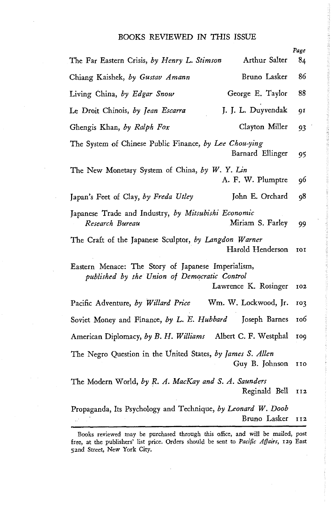|                                                                                                    |                      | Page       |
|----------------------------------------------------------------------------------------------------|----------------------|------------|
| The Far Eastern Crisis, by Henry L. Stimson                                                        | Arthur Salter        | 84         |
| Chiang Kaishek, by Gustav Amann                                                                    | Bruno Lasker         | 86         |
| Living China, by Edgar Snow                                                                        | George E. Taylor     | 88         |
| Le Droit Chinois, by Jean Escarra                                                                  | J. J. L. Duyvendak   | 91         |
| Ghengis Khan, by Ralph Fox                                                                         | Clayton Miller       | 93         |
| The System of Chinese Public Finance, by Lee Chou-ying                                             | Barnard Ellinger     | 95         |
| The New Monetary System of China, by W. Y. Lin                                                     | A. F. W. Plumptre    | 96         |
| Japan's Feet of Clay, by Freda Utley                                                               | John E. Orchard      | 98         |
| Japanese Trade and Industry, by Mitsubishi Economic<br>Research Bureau                             | Miriam S. Farley     | 99         |
| The Craft of the Japanese Sculptor, by Langdon Warner                                              | Harold Henderson     | <b>IOI</b> |
| Eastern Menace: The Story of Japanese Imperialism,<br>published by the Union of Democratic Control | Lawrence K. Rosinger | 102        |
| Pacific Adventure, by Willard Price                                                                | Wm. W. Lockwood, Jr. | 103        |
| Soviet Money and Finance, by L. E. Hubbard                                                         | Joseph Barnes        | 106        |
| American Diplomacy, by B. H. Williams Albert C. F. Westphal                                        |                      | <b>109</b> |
| The Negro Question in the United States, by James S. Allen                                         | Guy B. Johnson       | 110        |
| The Modern World, by R. A. MacKay and S. A. Saunders                                               | Reginald Bell        | II2        |
| Propaganda, Its Psychology and Technique, by Leonard W. Doob                                       | Bruno Lasker         | 112        |

Books reviewed may be purchased through this office, and will be mailed, post free, at the publishers' list price. Orders should be sent to *Pacific Affairs,* **129** East 52nd Street, New York City.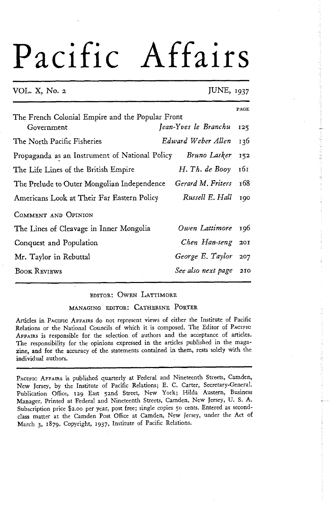#### VOL. X, No. 2 JUNE, 1937

|                                                                | PAGE                 |     |
|----------------------------------------------------------------|----------------------|-----|
| The French Colonial Empire and the Popular Front<br>Government | Jean-Yves le Branchu | 125 |
| The North Pacific Fisheries                                    | Edward Weber Allen   | 136 |
| Propaganda as an Instrument of National Policy                 | Bruno Lasker         | 152 |
| The Life Lines of the British Empire                           | H. Th. de Booy       | 161 |
| The Prelude to Outer Mongolian Independence                    | Gerard M. Friters    | 168 |
| Americans Look at Their Far Eastern Policy                     | Russell E. Hall      | 100 |
| COMMENT AND OPINION                                            |                      |     |
| The Lines of Cleavage in Inner Mongolia                        | Owen Lattimore       | 196 |
| Conquest and Population                                        | Chen Han-seng        | 201 |
| Mr. Taylor in Rebuttal                                         | George E. Taylor     | 207 |
| <b>BOOK REVIEWS</b>                                            | See also next page   | 210 |

#### EDITOR: OWEN LATTIMORE

#### MANAGING EDITOR: CATHERINE PORTER

Articles in PACIFIC AFFAIRS do not represent views of either the Institute of Pacific Relations or the National Councils of which it is composed. The Editor of PACIFIC AFFAIRS is responsible for the selection of authors and the acceptance of articles. The responsibility for the opinions expressed in the articles published in the magazine, and for the accuracy of the statements contained in them, rests solely with the individual authors.

PACIFIC AFFAIRS is published quarterly at Federal and Nineteenth Streets, Camden, New Jersey, by the Institute of Pacific Relations; E. C. Carter, Secretary-General. Publication Office, 129 East 5znd Street, New York; Hilda Austern, Business Manager. Printed at Federal and Nineteenth Streets, Carnden, New Jersey, U. S. A. Subscription price \$2.00 per year, post free; single copies 50 cents. Entered as secondclass matter at the Camden Post Office at Camden, New Jersey, under the Act of March **3,** 1879. Copyright, **1937,** Institute of Pacific Relations.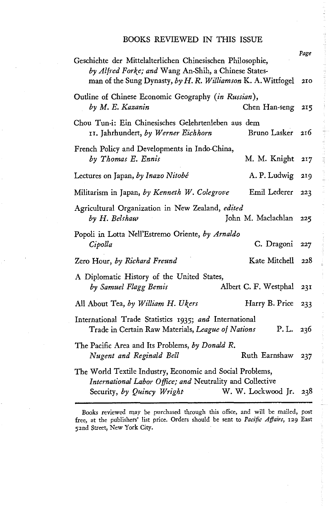| Geschichte der Mittelalterlichen Chinesischen Philosophie,<br>by Alfred Forke; and Wang An-Shih, a Chinese States-<br>man of the Sung Dynasty, by H. R. Williamson K. A. Wittfogel | Page<br>210 |
|------------------------------------------------------------------------------------------------------------------------------------------------------------------------------------|-------------|
| Outline of Chinese Economic Geography (in Russian),<br>by M. E. Kazanin<br>Chen Han-seng                                                                                           | 215         |
| Chou Tun-i: Ein Chinesisches Gelehrtenleben aus dem<br>11. Jahrhundert, by Werner Eichhorn<br>Bruno Lasker                                                                         | 216         |
| French Policy and Developments in Indo-China,<br>by Thomas E. Ennis<br>M. M. Knight                                                                                                | 217         |
| A. P. Ludwig<br>Lectures on Japan, by Inazo Nitobé                                                                                                                                 | 219         |
| Emil Lederer<br>Militarism in Japan, by Kenneth W. Colegrove                                                                                                                       | 223         |
| Agricultural Organization in New Zealand, edited<br>John M. Maclachlan<br>by H. Belshaw                                                                                            | 225         |
| Popoli in Lotta Nell'Estremo Oriente, by Arnaldo<br>C. Dragoni<br>Cipolla                                                                                                          | 227         |
| Kate Mitchell<br>Zero Hour, by Richard Freund                                                                                                                                      | 228         |
| A Diplomatic History of the United States,<br>by Samuel Flagg Bemis<br>Albert C. F. Westphal                                                                                       | 231         |
| All About Tea, by William H. Ukers<br>Harry B. Price                                                                                                                               | 233         |
| International Trade Statistics 1935; and International<br>Trade in Certain Raw Materials, League of Nations                                                                        | P.L. $236$  |
| The Pacific Area and Its Problems, by Donald R.<br>Nugent and Reginald Bell<br>Ruth Earnshaw                                                                                       | 237         |
| The World Textile Industry, Economic and Social Problems,<br>International Labor Office; and Neutrality and Collective<br>W. W. Lockwood Jr.<br>Security, by Quincy Wright         | 238         |

**The contract of the contract of the contract of the contract of the contract of the contract of the contract of the contract of the contract of the contract of the contract of the contract of the contract of the contract** 

Books reviewed may be purchased through this office, and will be mailed, post free, at the publishers' list price. Orders should be sent to *Pacific* **Affairs, 129** East 52nd Street, New York City.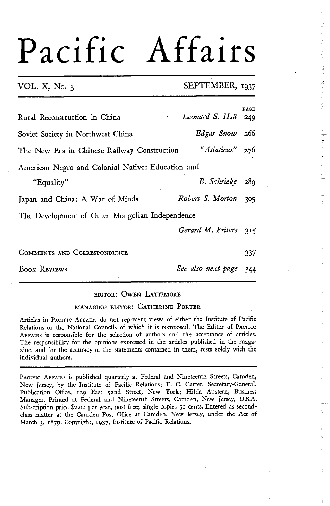#### VOL. X, No. **3** SEPTEMBER, **1937**

| Rural Reconstruction in China                     | Leonard S. Hsü    | PAGE<br>249 |
|---------------------------------------------------|-------------------|-------------|
| Soviet Society in Northwest China                 | Edgar Snow 266    |             |
| The New Era in Chinese Railway Construction       | "Asiaticus" 276   |             |
| American Negro and Colonial Native: Education and |                   |             |
| "Equality"                                        | B. Schrieke 289   |             |
| Japan and China: A War of Minds                   | Robert S. Morton  | 305         |
| The Development of Outer Mongolian Independence   |                   |             |
|                                                   | Gerard M. Friters | 315         |
| COMMENTS AND CORRESPONDENCE                       |                   | 337         |

BOOK REVIEWS *See also next page* 344

#### EDITOR: OWEN LATTIMORE

#### MANAGING EDITOR: CATHERINE PORTER

Articles in PACIFIC AFFAIRS do not represent views of either the Institute of Pacific Relations or the National Councils of which it is composed. The Editor of PACIFIC AFFAIRS is responsible for the selection of authors and the acceptance of articles. The responsibility for the opinions expressed in the articles published in the magazine, and for the accuracy of the statements contained in them, rests solely with the individual authors.

PACIFIC AFFAIRS is published quarterly at Federal and Nineteenth Streets, Camden, New Jersey, by the Institute of Pacific Relations; E. C. Carter, Secretary-General. Publication Office, 129 East 5znd Street, New York; Hilda Austern, Business Manager. Printed at Federal and Nineteenth Streets, Camden, New Jersey, U.S.A. Subscription price \$2.00 per year, post free; single copies 50 cents. Entered as secondclass matter at the Camden Post Office at Camden, New Jersey, under the Act of March **3,** 1879. Copyright, 1937, Institute of Pacific Relations.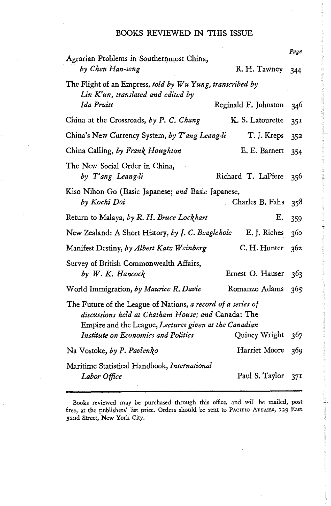| Agrarian Problems in Southernmost China,                                                                                                                                    |                      | Page |
|-----------------------------------------------------------------------------------------------------------------------------------------------------------------------------|----------------------|------|
| by Chen Han-seng                                                                                                                                                            | R. H. Tawney         | 344  |
| The Flight of an Empress, told by Wu Yung, transcribed by<br>Lin K'un, translated and edited by                                                                             |                      |      |
| Ida Pruitt                                                                                                                                                                  | Reginald F. Johnston | 346  |
| China at the Crossroads, by P. C. Chang                                                                                                                                     | K. S. Latourette     | 351  |
| China's New Currency System, by T'ang Leang-li                                                                                                                              | T. J. Kreps          | 352  |
| China Calling, by Frank Houghton                                                                                                                                            | E. E. Barnett        | 354  |
| The New Social Order in China,<br>by T'ang Leang-li                                                                                                                         | Richard T. LaPiere   | 356  |
| Kiso Nihon Go (Basic Japanese; and Basic Japanese,<br>by Kochi Doi                                                                                                          | Charles B. Fahs      | 358  |
| Return to Malaya, by R. H. Bruce Lockhart                                                                                                                                   | Е.                   | 359  |
| New Zealand: A Short History, by J. C. Beaglehole                                                                                                                           | E. J. Riches         | 360  |
| Manifest Destiny, by Albert Katz Weinberg                                                                                                                                   | C. H. Hunter         | 362  |
| Survey of British Commonwealth Affairs,<br>by W. K. Hancock                                                                                                                 | Ernest O. Hauser     | 363  |
| World Immigration, by Maurice R. Davie                                                                                                                                      | Romanzo Adams        | 365  |
| The Future of the League of Nations, a record of a series of<br>discussions held at Chatham House; and Canada: The<br>Empire and the League, Lectures given at the Canadian |                      |      |
| Institute on Economics and Politics                                                                                                                                         | Quincy Wright        | 367  |
| Na Vostoke, by P. Pavlenko                                                                                                                                                  | Harriet Moore        | 369  |
| Maritime Statistical Handbook, International                                                                                                                                |                      |      |
| Labor Office                                                                                                                                                                | Paul S. Taylor       | 371  |

a shekara ta kisiy

Saabahii ak

**Books reviewed may be purchased through this office, and will be mailed, post free, at the publishers' list price. Orders should** be **sent to PACIFIC AFFAIRS, 129 East**  52nd Street, New York City.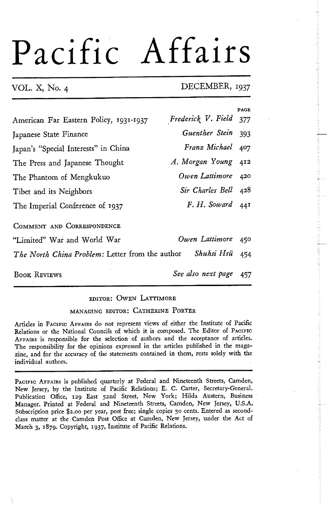#### VOL. X, No. 4 DECEMBER, **1937**

|                                                 |                      | PAGE |
|-------------------------------------------------|----------------------|------|
| American Far Eastern Policy, 1931-1937          | Frederick V. Field   | 377  |
| Japanese State Finance                          | Guenther Stein       | 393  |
| Japan's "Special Interests" in China            | Franz Michael        | 407  |
| The Press and Japanese Thought                  | A. Morgan Young      | 412  |
| The Phantom of Mengkukuo                        | Owen Lattimore       | 420  |
| Tibet and its Neighbors                         | Sir Charles Bell 428 |      |
| The Imperial Conference of 1937                 | $F. H.$ Soward $44I$ |      |
| COMMENT AND CORRESPONDENCE                      |                      |      |
| "Limited" War and World War                     | Owen Lattimore       | 450  |
| The North China Problem: Letter from the author | Shuhsi Hsü           | 454  |
| <b>BOOK REVIEWS</b>                             | See also next page   | 457  |

#### EDITOR: OWEN LATTIMORE

#### MANAGING EDITOR: CATHERINE PORTER

Articles in PACIFIC AFFAIRS do not represent views of either the Institute of Pacific Relations or the National Councils of which it is composed. The Editor of PACIFIC AFFAIRS is responsible for the selection of authors and the acceptance of articles. The responsibility for the opinions expressed in the articles published in the magazine, and for the accuracy of the statements contained in them, rests solely with the individual authors.

PACIFIC AFFAIRS is published quarterly at Federal and Nineteenth Streets, Camden, New Jersey, by the Institute of Pacific Relations; E. *C.* Carter, Secretary-General. Publication Office, **129** East 5znd Street, New York; Hilda Austern, Business Manager. Printed at Federal and Nineteenth Streets, Camden, New Jersey, U.S.A. Subscription price \$2.00 per year, post free; single copies 50 cents. Entered as secondclass matter at the Camden Post Office at Camden, New Jersey, under the Act of March **3,** 1879. Copyright, **1937,** Institute of Pacific Relations.